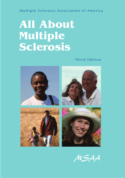#### Multiple Sclerosis Association of America

# **All About Multiple Sclerosis**

Third Edition



*MSAA*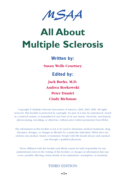*MSAA*

# **All About Multiple Sclerosis**

#### **Written by:**

**Susan Wells Courtney**

**Edited by:**

**Jack Burks, M.D. Andrea Borkowski Peter Damiri Cindy Richman** 

Copyright © Multiple Sclerosis Association of America, 2002, 2003, 2006. All rights reserved. This booklet is protected by copyright. No part of it may be reproduced, stored in a retrieval system, or transmitted in any form or by any means, electronic, mechanical, photocopying, recording, or otherwise, without prior written permission from MSAA.

The information in this booklet is not to be used to determine medical treatments, drug therapies, dosages, or changes in lifestyle for a particular individual. MSAA does not endorse any product, brand, or treatment. People with MS should always seek medical care through a qualified physician.

Those affiliated with this booklet and MSAA cannot be held responsible for any unintentional errors in the writing of this booklet, or changes in information that may occur, possibly affecting certain details of an explanation, assumption, or treatment.

#### THIRD EDITION

**•1•**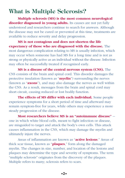## **What is Multiple Sclerosis?**

**Multiple sclerosis (MS) is the most common neurological** disorder diagnosed in young adults. Its causes are not yet fully understood and researchers continue to search for answers. Although the disease may not be cured or prevented at this time, treatments are available to reduce severity and delay progression.

**MS is not contagious and does not shorten the life expectancy of those who are diagnosed with the disease.** The most dangerous complication relating to MS is usually infection, which may occur when someone has had MS for a long time and is not as strong or physically active as an individual without the disease. Infection may often be successfully treated if recognized early.

**MS is a disease of the central nervous system (CNS).** The CNS consists of the brain and spinal cord. This disorder damages the protective insulation (known as "**myelin**") surrounding the nerves (known as "**axons**"), and may also damage the nerves as well within the CNS. As a result, messages from the brain and spinal cord may short circuit, causing reduced or lost bodily function.

**The effects of MS differ with each individual.** Some people experience symptoms for a short period of time and afterward may remain symptom-free for years, while others may experience a more steady progression of the disease.

**Most researchers believe MS is an "autoimmune disease"** - one in which white blood cells, meant to fight infection or disease, are misguided to target and attack the body's own cells. This attack causes inflammation in the CNS, which may damage the myelin and ultimately injure the nerves.

Areas of inflammation are known as "**active lesions**." Areas of thick scar tissue, known as "**plaques**," form along the damaged myelin. The changes in size, number, and location of the lesions and plaques may determine the type and severity of symptoms. The term "multiple sclerosis" originates from the discovery of the plaques. Multiple refers to many; sclerosis refers to scars.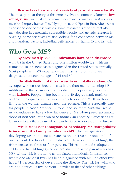**Researchers have studied a variety of possible causes for MS.** The most popular theory at this time involves a commonly known **slowacting virus** (one that could remain dormant for many years) such as measles, herpes, human T-cell lymphoma, and Epstein-Barr. After being exposed to one of these viruses, some researchers theorize that MS may develop in genetically susceptible people, and genetic research is ongoing. Some scientists are also looking for a connection between MS and nutritional factors, including deficiencies in vitamin D and fish oil.

#### **Who Gets MS?**

**Approximately 350,000 individuals have been diagnosed** with MS in the United States and one million worldwide, with an estimated 10,000 new cases diagnosed in the United States annually. Most people with MS experience their first symptoms and are diagnosed between the ages of 15 and 50.

**The distribution of this disease is not totally random.** On average, women are three times as likely than men to develop MS. Additionally, the occurrence of this disorder is positively correlated with **latitude**. People living beyond the 40-degree mark north or south of the equator are far more likely to develop MS than those living in the warmer climates near the equator. This is especially true for people in North America, Europe, and southern Australia, while Asia continues to have a low incidence of MS. More prevalent among those of northern European or Scandinavian ancestry, Caucasians are far more likely than those of African heritage to develop this disease.

**While MS is not contagious or hereditary, MS susceptibility is increased if a family member has MS.** The average risk of developing MS in the United States is one in 1,000, or one tenth of one percent. For first-degree relatives (such as a child or sibling), the risk increases to three or four percent. This is not true for adopted children or half siblings (who do not share the same parent who has MS), whose risk is the same as unrelated individuals. In instances where one identical twin has been diagnosed with MS, the other twin has a 31 percent risk of developing the disease. The risk for twins who are not identical is five percent – similar to that of other siblings.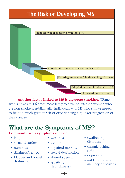## **The Risk of Developing MS**



**Another factor linked to MS is cigarette smoking.** Women who smoke are 1.6 times more likely to develop MS than women who are non-smokers. Additionally, individuals with MS who smoke appear to be at a much greater risk of experiencing a quicker progression of their disease.

## **What are the Symptoms of MS?**

#### **Commonly seen symptoms include:**

- fatigue
- visual disorders
- numbness
- dizziness/vertigo
- bladder and bowel dysfunction
- weakness
- tremor
- impaired mobility
- sexual dysfunction
- slurred speech
- spasticity (leg stiffness)
- swallowing disorders
- chronic aching pain
- depression
- mild cognitive and memory difficulties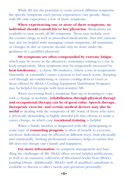While MS has the potential to cause several different symptoms, the specific symptoms each person experiences vary greatly. Many with MS only experience a few of these symptoms.

**When experiencing one or more of these symptoms, an individual should consult his or her physician.** Medications are available to treat nearly all MS symptoms. These may include overthe-counter drugs as well as prescribed medications. Diet and exercise may also be helpful with managing certain symptoms. All treatments or changes in diet or exercise should only be done under the guidance of a qualified physician.

**MS symptoms are often compounded by extreme fatigue,** which may be worse in the afternoon, sometimes relating to a rise in body temperature. Most symptoms may be temporarily increased by **heat intolerance** – a classic MS tendency, where a rise in temperature (internally or externally) causes a person to feel much worse. Keeping cool through air-conditioning or various cooling devices (such as those offered by MSAA's Cooling Equipment Distribution Program), may be helpful for people with heat-sensitive MS.

When recovering from a symptom flare-up or learning to cope with a change in mobility, **rehabilitation through physical therapy and occupational therapy can be of great value. Speech therapy, therapeutic exercise, and certain medical devices may also be useful** in dealing with the symptoms of MS. Some of those who have a physically demanding or highly stressful job may choose to make a career change, in which case **vocational training** is helpful.

When a family member is diagnosed with MS, participating in some type of **counseling program** is often of benefit to everyone involved. Individuals may be affected in different ways, both physically and emotionally. Seeking professional assistance helps to ensure that MS does not disrupt one's family and happiness.

For more information on symptom management and handling the challenges of MS, MSAA offers several helpful publications, as well as an extensive collection of MS-related books from MSAA's Lending Library. Additionally, MSAA's staff of qualified consultants is available to discuss a caller's needs and questions personally.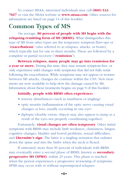To contact MSAA, interested individuals may call **(800) 532- 7667** or visit the MSAA website at **www.msaa.com**. Other sources for information are listed on page 14 of this booklet.

## **Common Types of MS**

On average, **80 percent of people with MS begin with the relapsing-remitting form of MS (RRMS).** What distinguishes this type of MS from other types are the temporary symptom flare-ups or "**exacerbations**" (also referred to as relapses, attacks, or bouts), which typically last for one to three months. These are followed by a complete or partial recovery ("**remission**").

**Between relapses, many people may go into remission for a year or more.** During this time, they may remain symptom free, or only experience mild changes with symptoms that did not fully remit following the exacerbation. While symptoms may not appear or worsen between MS attacks, changes do continue within the CNS. New treatments are now available to help slow the damage caused by MS. Information about these treatments begins on page 9 of this booklet.

#### **Initially, people with RRMS often experience:**

- sensory disturbances (such as numbness or tingling)
- optic neuritis (inflammation of the optic nerve causing visual changes or loss; usually occurring in one eye)
- diplopia (double vision; objects may also appear to jump as a result of the eyes not properly coordinating together)

Fortunately, **visual changes are often temporary**. Other initial symptoms with RRMS may include limb weakness, clumsiness, fatigue, cognitive changes, bladder and bowel problems, sexual difficulties, and **Lhermitte's sign**. The latter is a tingling sensation that radiates down the spine and into the limbs when the neck is flexed.

If untreated, more than 90 percent of individuals with RRMS may eventually enter a second phase of RRMS, known as **secondaryprogressive MS (SPMS)**, within 25 years. This phase is reached when the person experiences a progressive worsening of symptoms. SPMS may occur with or without superimposed relapses.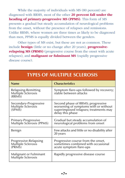While the majority of individuals with MS (80 percent) are diagnosed with RRMS, most of the other **20 percent fall under the heading of primary-progressive MS (PPMS)**. This form of MS presents a gradual but steady accumulation of neurological problems from the onset, without the presence of relapses and remissions. Unlike RRMS, where women are three times as likely to be diagnosed than men, PPMS is equally divided between the genders.

Other types of MS exist, but these are not as common. These include **benign** (little or no change after 20 years), **progressiverelapsing MS (PRMS)** (progressive course from the onset with acute relapses), and **malignant or fulminant MS** (rapidly progressive disease course).

| <b>Name</b>                                                          | <b>Characteristics</b>                                                                                                                  |
|----------------------------------------------------------------------|-----------------------------------------------------------------------------------------------------------------------------------------|
| Relapsing-Remitting<br><b>Multiple Sclerosis</b><br>(RRMS)           | Symptom flare-ups followed by recovery;<br>stable between attacks                                                                       |
| Secondary-Progressive<br><b>Multiple Sclerosis</b><br>$(SPM\bar{S})$ | Second phase of RRMS; progressive<br>worsening of symptoms with or without<br>superimposed relapses; treatments may<br>delay this phase |
| Primary-Progressive<br>Multiple Sclerosis (PPMS)                     | Gradual but steady accumulation of<br>neurological problems from onset                                                                  |
| Benign                                                               | Few attacks and little or no disability after<br>20 years                                                                               |
| Progressive-Relapsing<br><b>Multiple Sclerosis</b><br>(PRMS)         | Progressive course from the onset,<br>sometimes combined with occasional<br>acute symptom flare-ups                                     |
| Malignant or Fulminant<br><b>Multiple Sclerosis</b>                  | Rapidly progressive disease course                                                                                                      |

#### **TYPES OF MULTIPLE SCLEROSIS**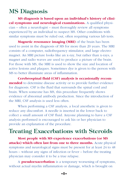### **MS Diagnosis**

**MS diagnosis is based upon an individual's history of clinical symptoms and neurological examinations.** A qualified physician – often a neurologist – must thoroughly review all symptoms experienced by an individual to suspect MS. Other conditions with similar symptoms must be ruled out, often requiring various lab tests.

**Magnetic resonance imaging (MRI)** of the brain has been used to assist in the diagnosis of MS for more than 20 years. The MRI consists of a computer, radiofrequency stimulator, and large electromagnet. An MRI picture looks like an x-ray, but rather than x-rays, a magnet and radio waves are used to produce a picture of the brain. For those with MS, the MRI is used to show the size and location of active lesions and plaques. Sometimes dye is given to the person with MS to better illuminate areas of inflammation.

**Cerebrospinal fluid (CSF) analysis is occasionally recommended** to determine disease activity or to provide further evidence for diagnosis. CSF is the fluid that surrounds the spinal cord and brain. When someone has MS, this procedure frequently shows evidence of abnormal antibody production. Since the introduction of the MRI, CSF analysis is used less often.

When performing a CSF analysis, a local anesthetic is given to reduce any discomfort. A needle is inserted in the lower back to collect a small amount of CSF fluid. Anyone planning to have a CSF analysis performed is encouraged to ask his or her physician to provide an explanation of the procedure.

### **Treating Exacerbations with Steroids**

**Most people with MS experience exacerbations (or MS attacks) which often last from one to three months.** Acute physical symptoms and neurological signs must be present for at least 24 to 48 hours – without any signs of infection or fever – before the treating physician may consider it to be a true relapse.

A **pseudoexacerbation** is a temporary worsening of symptoms, without actual myelin inflammation or damage, which is brought on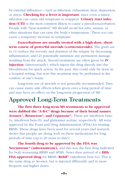by external influences – such as infection, exhaustion, heat, depression, or stress. **Checking for a fever is important**, since even a minor infection can cause old symptoms to reappear. **Urinary tract infection (UTI)** is the most common illness to cause a pseudoexacerbation. People with "heat-sensitive" MS should avoid hot tubs, saunas, or other situations that can raise the body's temperature. These too can cause a temporary increase in symptoms.

**Exacerbations are usually treated with a high-dose, shortterm course of powerful steroids (corticosteroids).** The goals are to (1) reduce the severity and duration of the relapse by decreasing inflammation, and (2) potentially minimize any permanent damage resulting from the attack. Steroid treatments are often given by **IV injection** (intravenously), which injects the drug directly into the bloodstream for quick action. In the past, this could only be done in a hospital setting, but now this treatment may be performed in the comfort of one's home.

Long-term use of steroids is not generally recommended. They can cause many side effects when given over a long period of time and may have no effect on the long-term progression of MS.

### **Approved Long-Term Treatments**

**The first three long-term MS treatments to be approved were dubbed the "A-B-C" drugs because of their brand names: Avonex®, Betaseron®, and Copaxone®.** These are interferon beta-1a, interferon beta-1b, and glatiramer acetate, respectively. All were approved by the Food and Drug Administration (FDA) for treating RRMS. These drugs have been used for several years and research shows that people are doing well on these medications for long periods of time (up to 20 years to date).

**The fourth drug to be approved by the FDA was Novantrone® (mitoxantrone),** and this was the first drug indicated for both worsening RRMS and SPMS. News then arrived of a **fifth FDA-approved drug** for RRMS: **Rebif®** (interferon beta-1a). This is the same drug as Avonex, but is injected differently and in more frequent and higher doses.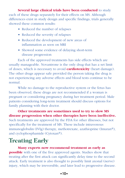**Several large clinical trials have been conducted** to study each of these drugs separately for their effects on MS. Although differences exist in study design and specific findings, trials generally showed these common results:

- Reduced the number of relapses
- Reduced the severity of relapses
- Reduced the development of new areas of inflammation as seen on MRI
- Showed some evidence of delaying short-term disease progression

Each of the approved treatments has side effects which are usually manageable. Novantrone is the only drug that has a set limit of doses, which is necessary to avoid **cardiotoxicity** (heart damage). The other drugs appear safe provided the person taking the drug is not experiencing any adverse effects and blood tests continue to be normal.

While no damage to the reproductive system or the fetus has been observed, these drugs are not recommended if a woman is pregnant or considering pregnancy during her treatment period. Male patients considering long-term treatment should discuss options for family planning with their doctor.

**Other treatments are sometimes used to try to slow MS disease progression when other therapies have been ineffective.** Such treatments are approved by the FDA for other illnesses, but not specifically for the treatment of MS. These include intravenous immunoglobulin (IVIg) therapy, methotrexate, azathioprine (Imuran®), and cyclophosphamide (Cytoxan®).

## **Treating Early**

**Many experts now recommend treatment as early as possible** with one of the five approved agents. Studies show that treating after the first attack can significantly delay time to the second attack. Early treatment is also thought to possibly limit axonal (nerve) injury, which may be irreversible, and later lead to progressive disease.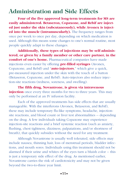## **Administration and Side Effects**

**Four of the five approved long-term treatments for MS are easily administered. Betaseron, Copaxone, and Rebif are injected just under the skin (subcutaneously), while Avonex is injected into the muscle (intramuscularly).** The frequency ranges from once per week to once per day, depending on which medication is used. Although this means some changes to one's normal routine, most people quickly adapt to these changes.

**Additionally, these types of injections may be self-administered, or given by a family member or other care partner, in the comfort of one's home.** Pharmaceutical companies have made injections even easier by offering **pre-filled syringes** (Avonex, Copaxone, and Rebif) and "**auto-injectors**," which give a quick, pre-measured injection under the skin with the touch of a button (Betaseron, Copaxone, and Rebif). Auto-injectors also reduce injection-site reactions (redness, soreness, and swelling).

**The fifth drug, Novantrone, is given via intravenous injection** once every three months for two to three years. This may only be performed at an IV infusion facility.

Each of the approved treatments has side effects that are usually manageable. With the interferons (Avonex, Betaseron, and Rebif), these may include temporary flu-like symptoms, headache, injectionsite reactions, and blood count or liver test abnormalities -- depending on the drug. A few individuals taking Copaxone may experience injection-site reactions and a brief systemic reaction (such as anxiety, flushing, chest tightness, dizziness, palpatations, and/or shortness of breath), that quickly subsides without the need for any treatment.

Although Novantrone is usually well tolerated, side effects may include nausea, thinning hair, loss of menstrual periods, bladder infections, and mouth sores. Individuals using this treatment should not be alarmed if their urine and whites of the eyes turn a bluish color -- this is just a temporary side effect of the drug. As mentioned earlier, Novantrone carries the risk of cardiotoxicity and may not be given beyond the two-to-three year limit.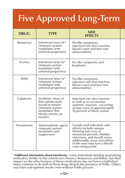## **Five Approved Long-Term**

| <b>DRUG</b>      | <b>TYPE</b>                                                                                                                   | <b>SIDE</b><br><b>EFFECTS</b>                                                                                                                                                                                                           |  |
|------------------|-------------------------------------------------------------------------------------------------------------------------------|-----------------------------------------------------------------------------------------------------------------------------------------------------------------------------------------------------------------------------------------|--|
| <b>Betaseron</b> | Interferon beta-1b <sup>*</sup><br>(immune system<br>modulator with<br>antiviral properties)                                  | Flu-like symptoms,<br>injection-site skin reaction,<br>blood count and liver test<br>abnormalities                                                                                                                                      |  |
| Avonex           | Interferon beta-1a*<br>(immune system<br>modulator with<br>antiviral properties)                                              | Flu-like symptoms and<br>headache                                                                                                                                                                                                       |  |
| Rebif            | Interferon beta-1a*<br>(immune system<br>modulator with<br>antiviral properties)                                              | Flu-like symptoms,<br>injection-site skin reaction,<br>blood count and liver test<br>abnormalities                                                                                                                                      |  |
| Copaxone         | Synthetic chain of<br>four amino acids<br>found in myelin<br>(immune system<br>modulator that<br>blocks attacks on<br>myelin) | Injection-site skin reaction<br>as well as an occasional<br>systemic reaction - occurring<br>at least once in approximately<br>10 percent of those tested                                                                               |  |
| Novantrone       | Antineoplastic agent<br>(immune system<br>modulator and<br>suppressor)                                                        | Usually well tolerated; side<br>effects include nausea,<br>thinning hair, loss of<br>menstrual periods, bladder<br>infections, and mouth sores;<br>additionally, urine and whites<br>of the eyes may turn a bluish<br>color temporarily |  |

**\*Additional information about interferons:** Some individuals develop neutralizing antibodies (NABs) to the interferons (Avonex, Betaseron, and Rebif), but their impact on the effectiveness of these medications has not been established. Many continue to do well on these drugs despite the presence of NABs. Others may have sub-optimal results even without NABs present.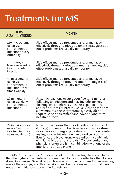## **Treatments for MS**

| <b>HOW</b><br><b>ADMINISTERED</b>                                              | <b>NOTES</b>                                                                                                                                                                                                                                                                                                                                                                                                                       |
|--------------------------------------------------------------------------------|------------------------------------------------------------------------------------------------------------------------------------------------------------------------------------------------------------------------------------------------------------------------------------------------------------------------------------------------------------------------------------------------------------------------------------|
| 250 micrograms<br>taken via<br>subcutaneous<br>injections every<br>other day   | Side effects may be prevented and/or managed<br>effectively through various treatment strategies; side<br>effect problems are usually temporary.                                                                                                                                                                                                                                                                                   |
| 30 micrograms<br>taken via weekly<br>intermuscular<br>injections               | Side effects may be prevented and/or managed<br>effectively through various treatment strategies; side<br>effect problems are usually temporary.                                                                                                                                                                                                                                                                                   |
| 44 micrograms<br>taken via<br>subcutaneous<br>injections three<br>times weekly | Side effects may be prevented and/or managed<br>effectively through various treatment strategies; side<br>effect problems are usually temporary.                                                                                                                                                                                                                                                                                   |
| 20 milligrams<br>taken via daily<br>subcutaneous<br>injections                 | Systemic reactions occur about five to 15 minutes<br>following an injection and may include anxiety,<br>flushing, chest tightness, dizziness, palpitations,<br>and/or shortness of breath. Usually lasting for only<br>a few minutes, these symptoms typically do not<br>require specific treatment and have no long-term<br>negative effects.                                                                                     |
| IV infusion once<br>every 3 months<br>(for two to three<br>years maximum)      | Novantrone carries the risk of cardiotoxicity (heart<br>damage) and may not be given beyond two or three<br>years. People undergoing treatment must have regular<br>testing for cardiotoxicity, white blood cell counts, and<br>liver function. Novantrone was studied in combination<br>with large IV doses of steroids. Concurrently, many<br>physicians often use it in combination with one of the<br>interferons or Copaxone. |

The MS Council and the American Academy of Neurology have concluded that the higher-dosed interferons are likely to be more effective than lowerdosed interferons. Several factors, however, must be considered when selecting one of these drugs, and this decision must be made on an individual basis under the guidance of a qualified physician.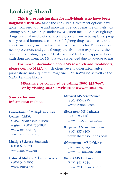#### **Looking Ahead**

**This is a promising time for individuals who have been** diagnosed with MS. Since the early 1990s, treatment options have gone from zero to five and more therapeutic agents are on their way. Among others, MS drugs under investigation include cancer-fighting drugs, antiviral medications, vaccines, bone marrow transplants, pregnancy-related hormones, cholesterol-fighting drugs, stem cells, and agents such as growth factors that may repair myelin. Regeneration, neuroprotection, and gene therapy are also being explored. At the time of this writing, Tysabri® (natalizumab) had been approved as a sixth drug treatment for MS, but was suspended due to adverse events.

**For more information about MS research and treatments, please contact MSAA**, which offers several other informative publications and a quarterly magazine, *The Motivator*, as well as the MSAA Lending Library.

#### **MSAA may be contacted by calling (800) 532-7667, or by visiting MSAA's website at www.msaa.com.**

**Sources for more information include:**

**Consortium of Multiple Sclerosis Centers (CMSC)** CMSC/NARCOMS patient registry: (800) 253-7884 www.mscare.org www.narcoms.org

**Multiple Sclerosis Foundation** (888) 673-6287 www.msfacts.org

**National Multiple Sclerosis Society** (800) 344-4867 www.nmss.org

**(Avonex) MS ActiveSource** (800) 456-2255 www.avonex.com

**(Betaseron) MS Pathways** (800) 788-1467 www.mspathways.com

**(Copaxone) Shared Solutions** (800) 887-8100 www.sharedsolutions.com

**(Novantrone) MS LifeLines** (877) 447-3243 www.novantrone.com

**(Rebif) MS LifeLines** (877) 447-3243 www.MSLifeLines.com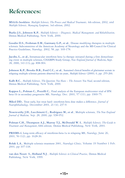## **References:**

**MSAA's booklets:** *Multiple Sclerosis, The Process and Medical Treatments,* 4th edition, 2002, and *Multiple Sclerosis, Managing Symptoms,* 3rd edition, 2002.

**Burks J.S., Johnson K.P.**, *Multiple Sclerosis – Diagnosis, Medical Management, and Rehabilitation*, Demos Medical Publishing, New York, 2000.

**Goodin D.S., Frohman E.M., Garmany G.P., et al.**, Disease modifying therapies in multiple sclerosis: Subcommittee of the American Academy of Neurology and the MS Council for Clinical Practice Guidelines, *Neurology,* 2002, 58, pp. 169-178.

**Jacobs, L., et al.,** Intramuscular interferon beta-1a therapy initiated during a first demyelinating event in multiple sclerosis, CHAMPS Study Group, *New England Journal of Medicine***,** Sept. 28, 2000, 343 (13), pp. 898-904.

**Johnson K.P., Brooks B.R., Ford C.C., et al.**, Sustained clinical benefits of glatiramer acetate in relapsing multiple sclerosis patients observed for six years, *Multiple Sclerosis* (2000), 6, pp. 255-266.

**Kalb R.C.**, *Multiple Sclerosis, The Questions You Have – The Answers You Need*, second edition, Demos Medical Publishing, New York, 2000.

**Kappos L., Polman C., Pozzilli C.**, Final analysis of the European multicenter trial of IFN beta-1b in secondary progressive MS, *Neurology,* Dec. 2001, 57 (11), pp. 1969-75.

**Mikol DD.**, Treat early, but treat hard: interferon-beta dose makes a difference, *Journal of Neurophthalmology,* December 2001, 21 (4), 237-9.

**Noseworthy J.H., Lucchinetti C., Rodriguez M., et al**., Multiple sclerosis, *The New England Journal of Medicine,* Sep. 28, 2000, pp. 938-952.

**Polman C.H., Thompson A.J., Murray T.J., McDonald W. I.**, *Multiple Sclerosis, The Guide to Treatment and Management*, fifth edition, Demos Medical Publishing, New York, 2001.

**PRISMS-4**, Long-term efficacy of interferon-beta-1a in relapsing MS, *Neurology*, June 26, 2001, 56 (12), pp. 1628-36.

**Rolak L.A.**, Multiple sclerosis treatment 2001, *Neurologic Clinics,* Volume 19 Number 1 Feb. 2001, pp 107-118.

**van den Noort S., Holland N.J**., *Multiple Sclerosis in Clinical Practice*, Demos Medical Publishing, New York, 1999.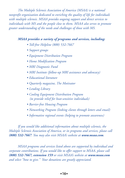*The Multiple Sclerosis Association of America (MSAA) is a national nonprofit organization dedicated to enriching the quality of life for individuals with multiple sclerosis. MSAA provides ongoing support and direct services to individuals with MS and the people close to them. MSAA also serves to promote greater understanding of the needs and challenges of those with MS.*

#### *MSAA provides a variety of programs and services, including:*

- *Toll-free Helpline (800) 532-7667*
- *Support groups*
- *Equipment Distribution Program*
- *Home Modification Program*
- *MRI Diagnostic Fund*
- *MRI Institute (follow-up MRI assistance and advocacy)*
- *Educational literature*
- *Quarterly magazine, The Motivator*
- *Lending Library*
- *Cooling Equipment Distribution Program (to provide relief for heat-sensitive individuals)*
- *Barrier-free Housing Program*
- *Networking Program (linking clients through letters and email)*
- *Informative regional events (helping to promote awareness)*

*If you would like additional information about multiple sclerosis, the Multiple Sclerosis Association of America, or its programs and services, please call (800) 532-7667. You may also visit MSAA's website at www.msaa.com.*

*MSAA programs and services listed above are supported by individual and corporate contributions. If you would like to offer support to MSAA, please call (800) 532-7667, extension 159 or visit MSAA's website at www.msaa.com and select "how to give." Your donations are greatly appreciated.*